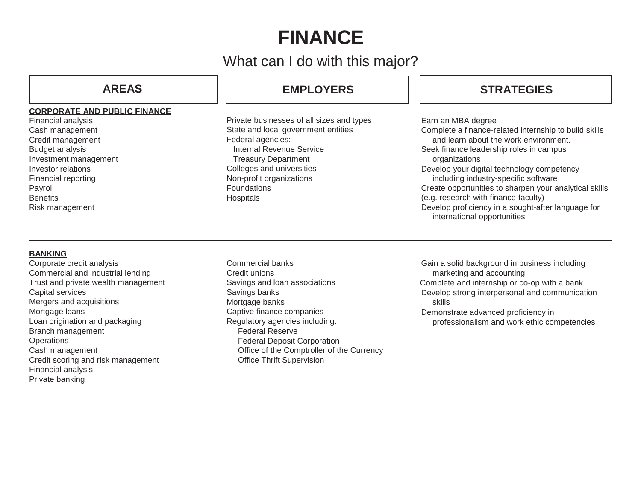# **FINANCE**

## What can I do with this major?

## **CORPORATE AND PUBLIC FINANCE**

Financial analysis Cash management Credit management Budget analysis Investment management Investor relations Financial reporting Payroll **Benefits** Risk management

## **AREAS EMPLOYERS STRATEGIES**

Private businesses of all sizes and types State and local government entities Federal agencies: Internal Revenue Service Treasury Department Colleges and universities Non-profit organizations **Foundations Hospitals** 

Earn an MBA degree Complete a finance-related internship to build skills and learn about the work environment. Seek finance leadership roles in campus organizations Develop your digital technology competency including industry-specific software Create opportunities to sharpen your analytical skills (e.g. research with finance faculty) Develop proficiency in a sought-after language for international opportunities

## **BANKING**

Corporate credit analysis Commercial and industrial lending Trust and private wealth management Capital services Mergers and acquisitions Mortgage loans Loan origination and packaging Branch management **Operations** Cash management Credit scoring and risk management Financial analysis Private banking

Commercial banks Credit unions Savings and loan associations Savings banks Mortgage banks Captive finance companies Regulatory agencies including: Federal Reserve Federal Deposit Corporation Office of the Comptroller of the Currency Office Thrift Supervision

Gain a solid background in business including marketing and accounting Complete and internship or co-op with a bank Develop strong interpersonal and communication skills Demonstrate advanced proficiency in professionalism and work ethic competencies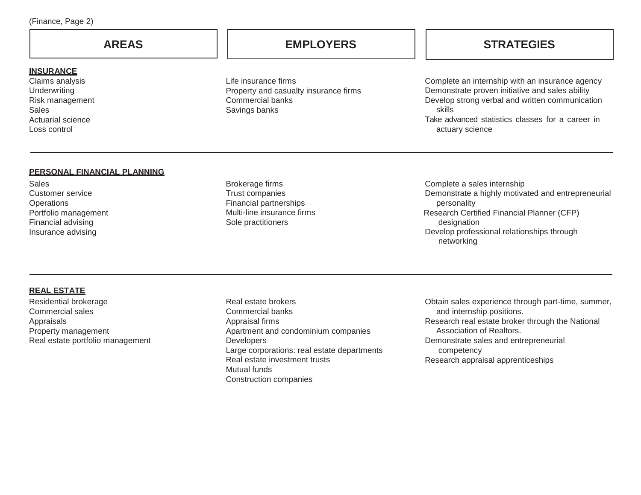**INSURANCE** Claims analysis **Underwriting** Risk management

Actuarial science Loss control

Sales

Life insurance firms Property and casualty insurance firms Commercial banks Savings banks

## **AREAS EMPLOYERS STRATEGIES**

Complete an internship with an insurance agency Demonstrate proven initiative and sales ability Develop strong verbal and written communication skills Take advanced statistics classes for a career in actuary science

## **PERSONAL FINANCIAL PLANNING**

**Sales** Customer service **Operations** Portfolio management Financial advising Insurance advising

Brokerage firms Trust companies Financial partnerships Multi-line insurance firms Sole practitioners

Complete a sales internship Demonstrate a highly motivated and entrepreneurial personality Research Certified Financial Planner (CFP) designation Develop professional relationships through networking

## **REAL ESTATE**

Residential brokerage Commercial sales Appraisals Property management Real estate portfolio management

Real estate brokers Commercial banks Appraisal firms Apartment and condominium companies Developers Large corporations: real estate departments Real estate investment trusts Mutual funds Construction companies

Obtain sales experience through part-time, summer, and internship positions. Research real estate broker through the National Association of Realtors. Demonstrate sales and entrepreneurial competency Research appraisal apprenticeships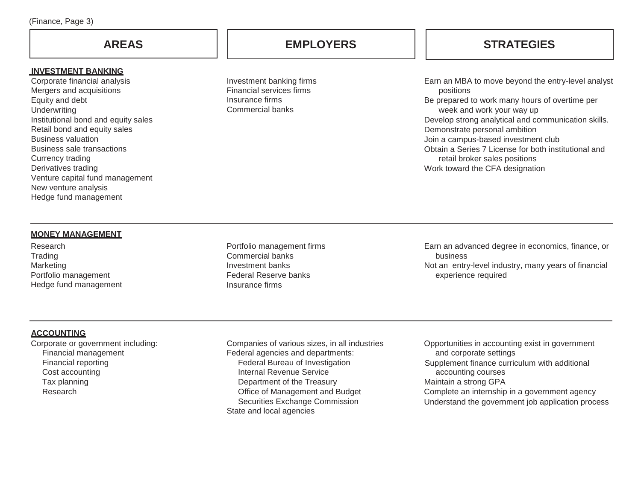### **INVESTMENT BANKING**

Corporate financial analysis Mergers and acquisitions Equity and debt **Underwriting** Institutional bond and equity sales Retail bond and equity sales Business valuation Business sale transactions Currency trading Derivatives trading Venture capital fund management New venture analysis Hedge fund management

Investment banking firms Financial services firms Insurance firms Commercial banks

**AREAS EMPLOYERS STRATEGIES**

Earn an MBA to move beyond the entry-level analyst positions Be prepared to work many hours of overtime per week and work your way up Develop strong analytical and communication skills. Demonstrate personal ambition Join a campus-based investment club Obtain a Series 7 License for both institutional and retail broker sales positions Work toward the CFA designation

## **MONEY MANAGEMENT**

Research **Trading** Marketing Portfolio management Hedge fund management Portfolio management firms Commercial banks Investment banks Federal Reserve banks Insurance firms

Earn an advanced degree in economics, finance, or business Not an entry-level industry, many years of financial experience required

## **ACCOUNTING**

Corporate or government including: Financial management Financial reporting Cost accounting Tax planning Research

Companies of various sizes, in all industries Federal agencies and departments: Federal Bureau of Investigation Internal Revenue Service Department of the Treasury Office of Management and Budget Securities Exchange Commission State and local agencies

Opportunities in accounting exist in government and corporate settings Supplement finance curriculum with additional accounting courses Maintain a strong GPA Complete an internship in a government agency Understand the government job application process